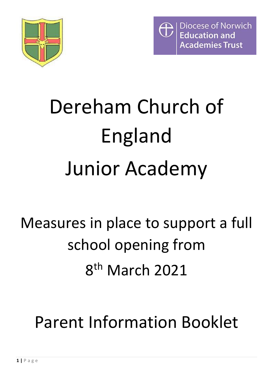



# Dereham Church of England Junior Academy

## Measures in place to support a full school opening from 8 th March 2021

Parent Information Booklet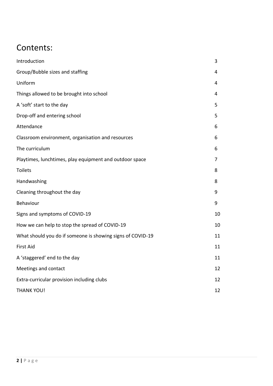### Contents:

| Introduction                                               | 3  |
|------------------------------------------------------------|----|
| Group/Bubble sizes and staffing                            | 4  |
| Uniform                                                    | 4  |
| Things allowed to be brought into school                   | 4  |
| A 'soft' start to the day                                  | 5  |
| Drop-off and entering school                               | 5  |
| Attendance                                                 | 6  |
| Classroom environment, organisation and resources          | 6  |
| The curriculum                                             | 6  |
| Playtimes, lunchtimes, play equipment and outdoor space    | 7  |
| <b>Toilets</b>                                             | 8  |
| Handwashing                                                | 8  |
| Cleaning throughout the day                                | 9  |
| Behaviour                                                  | 9  |
| Signs and symptoms of COVID-19                             | 10 |
| How we can help to stop the spread of COVID-19             | 10 |
| What should you do if someone is showing signs of COVID-19 | 11 |
| <b>First Aid</b>                                           | 11 |
| A 'staggered' end to the day                               | 11 |
| Meetings and contact                                       | 12 |
| Extra-curricular provision including clubs                 | 12 |
| <b>THANK YOU!</b>                                          | 12 |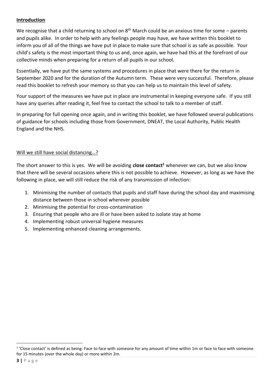#### **Introduction**

We recognise that a child returning to school on  $8<sup>th</sup>$  March could be an anxious time for some – parents and pupils alike. In order to help with any feelings people may have, we have written this booklet to inform you of all of the things we have put in place to make sure that school is as safe as possible. Your child's safety is the most important thing to us and, once again, we have had this at the forefront of our collective minds when preparing for a return of all pupils in our school.

Essentially, we have put the same systems and procedures in place that were there for the return in September 2020 and for the duration of the Autumn term. These were very successful. Therefore, please read this booklet to refresh your memory so that you can help us to maintain this level of safety.

Your support of the measures we have put in place are instrumental in keeping everyone safe. If you still have any queries after reading it, feel free to contact the school to talk to a member of staff.

In preparing for full opening once again, and in writing this booklet, we have followed several publications of guidance for schools including those from Government, DNEAT, the Local Authority, Public Health England and the NHS.

#### Will we still have social distancing...?

The short answer to this is yes. We will be avoiding **close contact<sup>1</sup>** whenever we can, but we also know that there will be several occasions where this is not possible to achieve. However, as long as we have the following in place, we will still reduce the risk of any transmission of infection:

- 1. Minimising the number of contacts that pupils and staff have during the school day and maximising distance between those in school wherever possible
- 2. Minimising the potential for cross-contamination
- 3. Ensuring that people who are ill or have been asked to isolate stay at home
- 4. Implementing robust universal hygiene measures
- 5. Implementing enhanced cleaning arrangements.

<sup>&</sup>lt;sup>1</sup> 'Close contact' is defined as being: Face to face with someone for any amount of time within 1m or face to face with someone for 15 minutes (over the whole day) or more within 2m.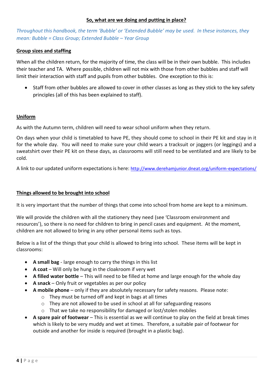#### **So, what are we doing and putting in place?**

*Throughout this handbook, the term 'Bubble' or 'Extended Bubble' may be used. In these instances, they mean: Bubble = Class Group; Extended Bubble – Year Group*

#### **Group sizes and staffing**

When all the children return, for the majority of time, the class will be in their own bubble. This includes their teacher and TA. Where possible, children will not mix with those from other bubbles and staff will limit their interaction with staff and pupils from other bubbles. One exception to this is:

• Staff from other bubbles are allowed to cover in other classes as long as they stick to the key safety principles (all of this has been explained to staff).

#### **Uniform**

As with the Autumn term, children will need to wear school uniform when they return.

On days when your child is timetabled to have PE, they should come to school in their PE kit and stay in it for the whole day. You will need to make sure your child wears a tracksuit or joggers (or leggings) and a sweatshirt over their PE kit on these days, as classrooms will still need to be ventilated and are likely to be cold.

A link to our updated uniform expectations is here: <http://www.derehamjunior.dneat.org/uniform-expectations/>

#### **Things allowed to be brought into school**

It is very important that the number of things that come into school from home are kept to a minimum.

We will provide the children with all the stationery they need (see 'Classroom environment and resources'), so there is no need for children to bring in pencil cases and equipment. At the moment, children are not allowed to bring in any other personal items such as toys.

Below is a list of the things that your child is allowed to bring into school. These items will be kept in classrooms:

- **A small bag** large enough to carry the things in this list
- **A coat** Will only be hung in the cloakroom if very wet
- **A filled water bottle** This will need to be filled at home and large enough for the whole day
- **A snack** Only fruit or vegetables as per our policy
- **A mobile phone** only if they are absolutely necessary for safety reasons. Please note:
	- o They must be turned off and kept in bags at all times
	- $\circ$  They are not allowed to be used in school at all for safeguarding reasons
	- o That we take no responsibility for damaged or lost/stolen mobiles
- **A spare pair of footwear** This is essential as we will continue to play on the field at break times which is likely to be very muddy and wet at times. Therefore, a suitable pair of footwear for outside and another for inside is required (brought in a plastic bag).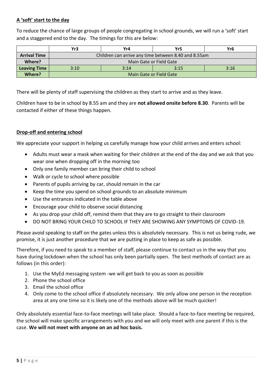#### **A 'soft' start to the day**

To reduce the chance of large groups of people congregating in school grounds, we will run a 'soft' start and a staggered end to the day. The timings for this are below:

|                     | Yr3                                                  | Yr4  | Yr5  | Yr6  |  |
|---------------------|------------------------------------------------------|------|------|------|--|
| <b>Arrival Time</b> | Children can arrive any time between 8.40 and 8.55am |      |      |      |  |
| Where?              | Main Gate or Field Gate                              |      |      |      |  |
| <b>Leaving Time</b> | 3:10                                                 | 3:14 | 3:15 | 3:16 |  |
| Where?              | Main Gate or Field Gate                              |      |      |      |  |

There will be plenty of staff supervising the children as they start to arrive and as they leave.

Children have to be in school by 8.55 am and they are **not allowed onsite before 8.30**. Parents will be contacted if either of these things happen.

#### **Drop-off and entering school**

We appreciate your support in helping us carefully manage how your child arrives and enters school:

- Adults must wear a mask when waiting for their children at the end of the day and we ask that you wear one when dropping off in the morning too
- Only one family member can bring their child to school
- Walk or cycle to school where possible
- Parents of pupils arriving by car, should remain in the car
- Keep the time you spend on school grounds to an absolute minimum
- Use the entrances indicated in the table above
- Encourage your child to observe social distancing
- As you drop your child off, remind them that they are to go straight to their classroom
- DO NOT BRING YOUR CHILD TO SCHOOL IF THEY ARE SHOWING ANY SYMPTOMS OF COVID-19.

Please avoid speaking to staff on the gates unless this is absolutely necessary. This is not us being rude, we promise, it is just another procedure that we are putting in place to keep as safe as possible.

Therefore, if you need to speak to a member of staff, please continue to contact us in the way that you have during lockdown when the school has only been partially open. The best methods of contact are as follows (in this order):

- 1. Use the MyEd messaging system -we will get back to you as soon as possible
- 2. Phone the school office
- 3. Email the school office
- 4. Only come to the school office if absolutely necessary. We only allow one person in the reception area at any one time so it is likely one of the methods above will be much quicker!

Only absolutely essential face-to-face meetings will take place. Should a face-to-face meeting be required, the school will make specific arrangements with you and we will only meet with one parent if this is the case. **We will not meet with anyone on an ad hoc basis.**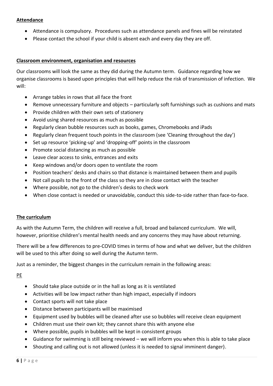#### **Attendance**

- Attendance is compulsory. Procedures such as attendance panels and fines will be reinstated
- Please contact the school if your child is absent each and every day they are off.

#### **Classroom environment, organisation and resources**

Our classrooms will look the same as they did during the Autumn term. Guidance regarding how we organise classrooms is based upon principles that will help reduce the risk of transmission of infection. We will:

- Arrange tables in rows that all face the front
- Remove unnecessary furniture and objects particularly soft furnishings such as cushions and mats
- Provide children with their own sets of stationery
- Avoid using shared resources as much as possible
- Regularly clean bubble resources such as books, games, Chromebooks and iPads
- Regularly clean frequent touch points in the classroom (see 'Cleaning throughout the day')
- Set up resource 'picking-up' and 'dropping-off' points in the classroom
- Promote social distancing as much as possible
- Leave clear access to sinks, entrances and exits
- Keep windows and/or doors open to ventilate the room
- Position teachers' desks and chairs so that distance is maintained between them and pupils
- Not call pupils to the front of the class so they are in close contact with the teacher
- Where possible, not go to the children's desks to check work
- When close contact is needed or unavoidable, conduct this side-to-side rather than face-to-face.

#### **The curriculum**

As with the Autumn Term, the children will receive a full, broad and balanced curriculum. We will, however, prioritise children's mental health needs and any concerns they may have about returning.

There will be a few differences to pre-COVID times in terms of how and what we deliver, but the children will be used to this after doing so well during the Autumn term.

Just as a reminder, the biggest changes in the curriculum remain in the following areas:

PE

- Should take place outside or in the hall as long as it is ventilated
- Activities will be low impact rather than high impact, especially if indoors
- Contact sports will not take place
- Distance between participants will be maximised
- Equipment used by bubbles will be cleaned after use so bubbles will receive clean equipment
- Children must use their own kit; they cannot share this with anyone else
- Where possible, pupils in bubbles will be kept in consistent groups
- Guidance for swimming is still being reviewed we will inform you when this is able to take place
- Shouting and calling out is not allowed (unless it is needed to signal imminent danger).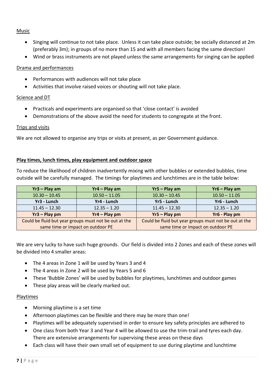#### Music

- Singing will continue to not take place. Unless it can take place outside; be socially distanced at 2m (preferably 3m); in groups of no more than 15 and with all members facing the same direction!
- Wind or brass instruments are not played unless the same arrangements for singing can be applied

#### Drama and performances

- Performances with audiences will not take place
- Activities that involve raised voices or shouting will not take place.

#### Science and DT

- Practicals and experiments are organised so that 'close contact' is avoided
- Demonstrations of the above avoid the need for students to congregate at the front.

#### Trips and visits

We are not allowed to organise any trips or visits at present, as per Government guidance.

#### **Play times, lunch times, play equipment and outdoor space**

To reduce the likelihood of children inadvertently mixing with other bubbles or extended bubbles, time outside will be carefully managed. The timings for playtimes and lunchtimes are in the table below:

| $Yr3 - Play am$                                       | $Yr4 - Play$ am | $Yr5 - Play am$                                       | $Yr6 - Play$ am |
|-------------------------------------------------------|-----------------|-------------------------------------------------------|-----------------|
| $10.30 - 10.45$                                       | $10.50 - 11.05$ | $10.30 - 10.45$                                       | $10.50 - 11.05$ |
| Yr3 - Lunch                                           | Yr4 - Lunch     | Yr5 - Lunch                                           | Yr6 - Lunch     |
| $11.45 - 12.30$                                       | $12.35 - 1.20$  | $11.45 - 12.30$                                       | $12.35 - 1.20$  |
| $Yr3 - Play pm$                                       | $Yr4 - Play pm$ | $Yr5 - Play pm$                                       | Yr6 - Play pm   |
| Could be fluid but year groups must not be out at the |                 | Could be fluid but year groups must not be out at the |                 |
| same time or impact on outdoor PE                     |                 | same time or impact on outdoor PE                     |                 |

We are very lucky to have such huge grounds. Our field is divided into 2 Zones and each of these zones will be divided into 4 smaller areas:

- The 4 areas in Zone 1 will be used by Years 3 and 4
- The 4 areas in Zone 2 will be used by Years 5 and 6
- These 'Bubble Zones' will be used by bubbles for playtimes, lunchtimes and outdoor games
- These play areas will be clearly marked out.

#### Playtimes

- Morning playtime is a set time
- Afternoon playtimes can be flexible and there may be more than one!
- Playtimes will be adequately supervised in order to ensure key safety principles are adhered to
- One class from both Year 3 and Year 4 will be allowed to use the trim-trail and tyres each day. There are extensive arrangements for supervising these areas on these days
- Each class will have their own small set of equipment to use during playtime and lunchtime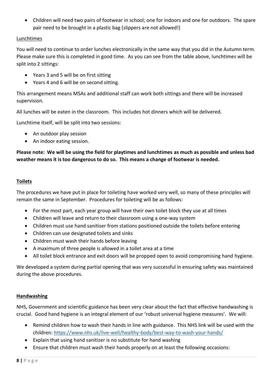• Children will need two pairs of footwear in school; one for indoors and one for outdoors. The spare pair need to be brought in a plastic bag (slippers are not allowed!)

#### Lunchtimes

You will need to continue to order lunches electronically in the same way that you did in the Autumn term. Please make sure this is completed in good time. As you can see from the table above, lunchtimes will be split into 2 sittings:

- Years 3 and 5 will be on first sitting
- Years 4 and 6 will be on second sitting.

This arrangement means MSAs and additional staff can work both sittings and there will be increased supervision.

All lunches will be eaten in the classroom. This includes hot dinners which will be delivered.

Lunchtime itself, will be split into two sessions:

- An outdoor play session
- An indoor eating session.

**Please note: We will be using the field for playtimes and lunchtimes as much as possible and unless bad weather means it is too dangerous to do so. This means a change of footwear is needed.**

#### **Toilets**

The procedures we have put in place for toileting have worked very well, so many of these principles will remain the same in September. Procedures for toileting will be as follows:

- For the most part, each year group will have their own toilet block they use at all times
- Children will leave and return to their classroom using a one-way system
- Children must use hand sanitiser from stations positioned outside the toilets before entering
- Children can use designated toilets and sinks
- Children must wash their hands before leaving
- A maximum of three people is allowed in a toilet area at a time
- All toilet block entrance and exit doors will be propped open to avoid compromising hand hygiene.

We developed a system during partial opening that was very successful in ensuring safety was maintained during the above procedures.

#### **Handwashing**

NHS, Government and scientific guidance has been very clear about the fact that effective handwashing is crucial. Good hand hygiene is an integral element of our 'robust universal hygiene measures'. We will:

- Remind children how to wash their hands in line with guidance. This NHS link will be used with the children:<https://www.nhs.uk/live-well/healthy-body/best-way-to-wash-your-hands/>
- Explain that using hand sanitizer is no substitute for hand washing
- Ensure that children must wash their hands properly on at least the following occasions: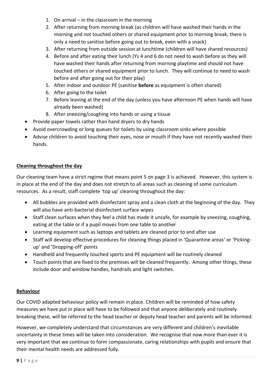- 1. On arrival in the classroom in the morning
- 2. After returning from morning break (as children will have washed their hands in the morning and not touched others or shared equipment prior to morning break, there is only a need to sanitise before going out to break, even with a snack)
- 3. After returning from outside session at lunchtime (children will have shared resources)
- 4. Before and after eating their lunch (Ys 4 and 6 do not need to wash before as they will have washed their hands after returning from morning playtime and should not have touched others or shared equipment prior to lunch. They will continue to need to wash before and after going out for their play)
- 5. After indoor and outdoor PE (sanitise **before** as equipment is often shared)
- 6. After going to the toilet
- 7. Before leaving at the end of the day (unless you have afternoon PE when hands will have already been washed)
- 8. After sneezing/coughing into hands or using a tissue
- Provide paper towels rather than hand dryers to dry hands
- Avoid overcrowding or long queues for toilets by using classroom sinks where possible
- Advise children to avoid touching their eyes, nose or mouth if they have not recently washed their hands.

#### **Cleaning throughout the day**

Our cleaning team have a strict regime that means point 5 on page 3 is achieved.However, this system is in place at the end of the day and does not stretch to all areas such as cleaning of some curriculum resources. As a result, staff complete 'top up' cleaning throughout the day:

- All bubbles are provided with disinfectant spray and a clean cloth at the beginning of the day. They will also have anti-bacterial disinfectant surface wipes
- Staff clean surfaces when they feel a child has made it unsafe, for example by sneezing, coughing, eating at the table or if a pupil moves from one table to another
- Learning equipment such as laptops and tablets are cleaned prior to and after use
- Staff will develop effective procedures for cleaning things placed in 'Quarantine areas' or 'Pickingup' and 'Dropping-off' points
- Handheld and frequently touched sports and PE equipment will be routinely cleaned
- Touch points that are fixed to the premises will be cleaned frequently. Among other things, these include door and window handles, handrails and light switches.

#### **Behaviour**

Our COVID adapted behaviour policy will remain in place. Children will be reminded of how safety measures we have put in place will have to be followed and that anyone deliberately and routinely breaking these, will be referred to the head teacher or deputy head teacher and parents will be informed.

However, we completely understand that circumstances are very different and children's inevitable uncertainty in these times will be taken into consideration. We recognise that now more than ever it is very important that we continue to form compassionate, caring relationships with pupils and ensure that their mental health needs are addressed fully.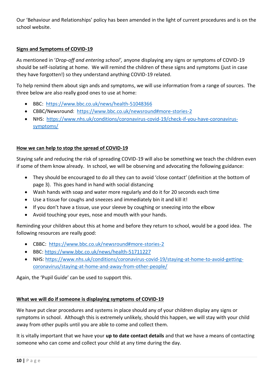Our 'Behaviour and Relationships' policy has been amended in the light of current procedures and is on the school website.

#### **Signs and Symptoms of COVID-19**

As mentioned in '*Drop-off and entering school',* anyone displaying any signs or symptoms of COVID-19 should be self-isolating at home. We will remind the children of these signs and symptoms (just in case they have forgotten!) so they understand anything COVID-19 related.

To help remind them about sign ands and symptoms, we will use information from a range of sources. The three below are also really good ones to use at home:

- BBC: <https://www.bbc.co.uk/news/health-51048366>
- CBBC/Newsround: <https://www.bbc.co.uk/newsround#more-stories-2>
- NHS: [https://www.nhs.uk/conditions/coronavirus-covid-19/check-if-you-have-coronavirus](https://www.nhs.uk/conditions/coronavirus-covid-19/check-if-you-have-coronavirus-symptoms/)[symptoms/](https://www.nhs.uk/conditions/coronavirus-covid-19/check-if-you-have-coronavirus-symptoms/)

#### **How we can help to stop the spread of COVID-19**

Staying safe and reducing the risk of spreading COVID-19 will also be something we teach the children even if some of them know already. In school, we will be observing and advocating the following guidance:

- They should be encouraged to do all they can to avoid 'close contact' (definition at the bottom of page 3). This goes hand in hand with social distancing
- Wash hands with soap and water more regularly and do it for 20 seconds each time
- Use a tissue for coughs and sneezes and immediately bin it and kill it!
- If you don't have a tissue, use your sleeve by coughing or sneezing into the elbow
- Avoid touching your eyes, nose and mouth with your hands.

Reminding your children about this at home and before they return to school, would be a good idea. The following resources are really good:

- CBBC: <https://www.bbc.co.uk/newsround#more-stories-2>
- BBC:<https://www.bbc.co.uk/news/health-51711227>
- NHS[: https://www.nhs.uk/conditions/coronavirus-covid-19/staying-at-home-to-avoid-getting](https://www.nhs.uk/conditions/coronavirus-covid-19/staying-at-home-to-avoid-getting-coronavirus/staying-at-home-and-away-from-other-people/)[coronavirus/staying-at-home-and-away-from-other-people/](https://www.nhs.uk/conditions/coronavirus-covid-19/staying-at-home-to-avoid-getting-coronavirus/staying-at-home-and-away-from-other-people/)

Again, the 'Pupil Guide' can be used to support this.

#### **What we will do if someone is displaying symptoms of COVID-19**

We have put clear procedures and systems in place should any of your children display any signs or symptoms in school. Although this is extremely unlikely, should this happen, we will stay with your child away from other pupils until you are able to come and collect them.

It is vitally important that we have your **up to date contact details** and that we have a means of contacting someone who can come and collect your child at any time during the day.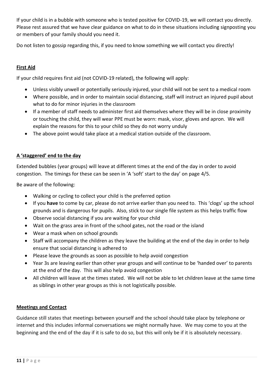If your child is in a bubble with someone who is tested positive for COVID-19, we will contact you directly. Please rest assured that we have clear guidance on what to do in these situations including signposting you or members of your family should you need it.

Do not listen to gossip regarding this, if you need to know something we will contact you directly!

#### **First Aid**

If your child requires first aid (not COVID-19 related), the following will apply:

- Unless visibly unwell or potentially seriously injured, your child will not be sent to a medical room
- Where possible, and in order to maintain social distancing, staff will instruct an injured pupil about what to do for minor injuries in the classroom
- If a member of staff needs to administer first aid themselves where they will be in close proximity or touching the child, they will wear PPE must be worn: mask, visor, gloves and apron. We will explain the reasons for this to your child so they do not worry unduly
- The above point would take place at a medical station outside of the classroom.

#### **A 'staggered' end to the day**

Extended bubbles (year groups) will leave at different times at the end of the day in order to avoid congestion. The timings for these can be seen in 'A 'soft' start to the day' on page 4/5.

Be aware of the following:

- Walking or cycling to collect your child is the preferred option
- If you **have** to come by car, please do not arrive earlier than you need to. This 'clogs' up the school grounds and is dangerous for pupils. Also, stick to our single file system as this helps traffic flow
- Observe social distancing if you are waiting for your child
- Wait on the grass area in front of the school gates, not the road or the island
- Wear a mask when on school grounds
- Staff will accompany the children as they leave the building at the end of the day in order to help ensure that social distancing is adhered to
- Please leave the grounds as soon as possible to help avoid congestion
- Year 3s are leaving earlier than other year groups and will continue to be 'handed over' to parents at the end of the day. This will also help avoid congestion
- All children will leave at the times stated. We will not be able to let children leave at the same time as siblings in other year groups as this is not logistically possible.

#### **Meetings and Contact**

Guidance still states that meetings between yourself and the school should take place by telephone or internet and this includes informal conversations we might normally have. We may come to you at the beginning and the end of the day if it is safe to do so, but this will only be if it is absolutely necessary.